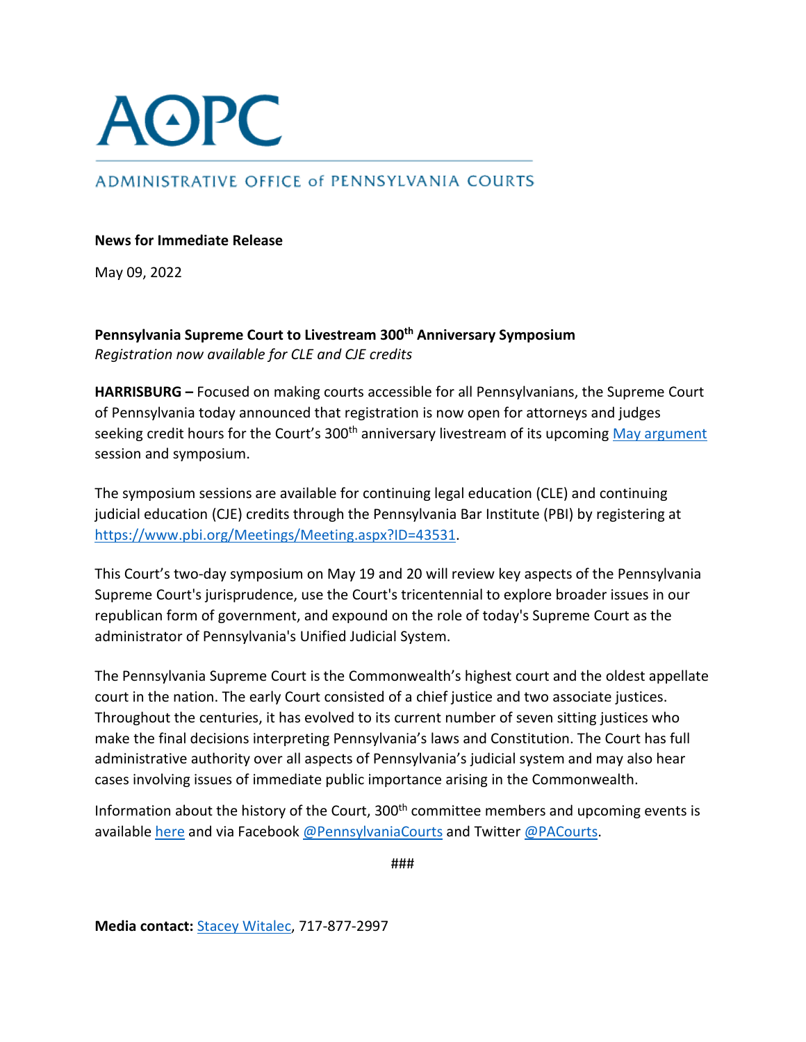

## ADMINISTRATIVE OFFICE of PENNSYLVANIA COURTS

## **News for Immediate Release**

May 09, 2022

**Pennsylvania Supreme Court to Livestream 300th Anniversary Symposium** *Registration now available for CLE and CJE credits*

**HARRISBURG –** Focused on making courts accessible for all Pennsylvanians, the Supreme Court of Pennsylvania today announced that registration is now open for attorneys and judges seeking credit hours for the Court's 300<sup>th</sup> anniversary livestream of its upcoming May argument session and symposium.

The symposium sessions are available for continuing legal education (CLE) and continuing judicial education (CJE) credits through the Pennsylvania Bar Institute (PBI) by registering at [https://www.pbi.org/Meetings/Meeting.aspx?ID=43531.](https://www.pbi.org/Meetings/Meeting.aspx?ID=43531)

This Court's two-day symposium on May 19 and 20 will review key aspects of the Pennsylvania Supreme Court's jurisprudence, use the Court's tricentennial to explore broader issues in our republican form of government, and expound on the role of today's Supreme Court as the administrator of Pennsylvania's Unified Judicial System.

The Pennsylvania Supreme Court is the Commonwealth's highest court and the oldest appellate court in the nation. The early Court consisted of a chief justice and two associate justices. Throughout the centuries, it has evolved to its current number of seven sitting justices who make the final decisions interpreting Pennsylvania's laws and Constitution. The Court has full administrative authority over all aspects of Pennsylvania's judicial system and may also hear cases involving issues of immediate public importance arising in the Commonwealth.

Information about the history of the Court, 300<sup>th</sup> committee members and upcoming events is available [here](http://www.pacourts.us/learn/history/celebrating-300-years) and via Facebook [@PennsylvaniaCourts](https://www.facebook.com/pennsylvaniacourts/) and Twitter [@PACourts.](https://twitter.com/PACourts)

###

**Media contact:** [Stacey Witalec,](mailto:stacey.witalec@pacourts.us) 717-877-2997